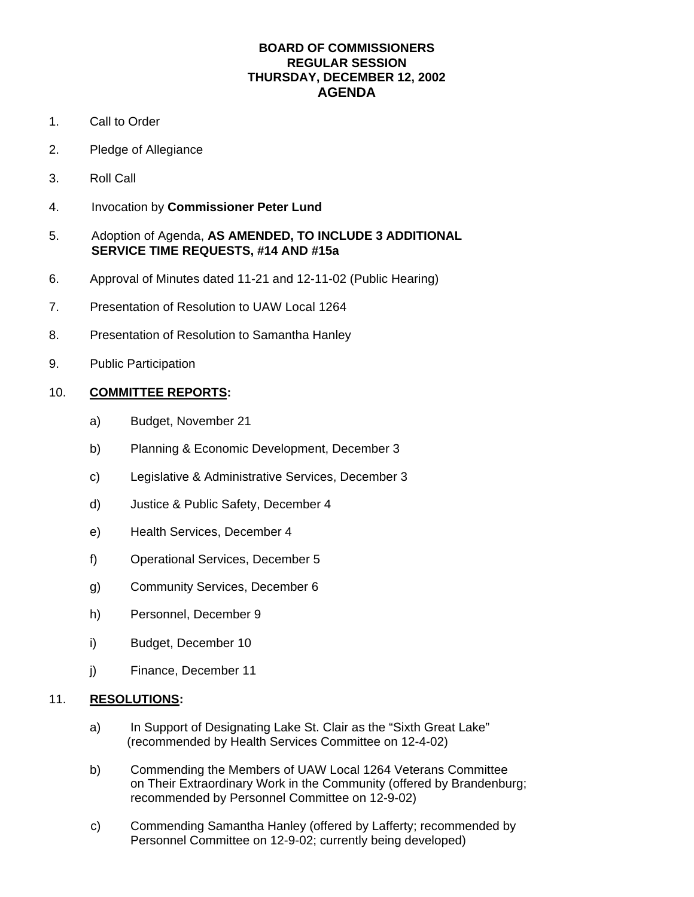## **BOARD OF COMMISSIONERS REGULAR SESSION THURSDAY, DECEMBER 12, 2002 AGENDA**

- 1. Call to Order
- 2. Pledge of Allegiance
- 3. Roll Call
- 4. Invocation by **Commissioner Peter Lund**
- 5. Adoption of Agenda, **AS AMENDED, TO INCLUDE 3 ADDITIONAL SERVICE TIME REQUESTS, #14 AND #15a**
- 6. Approval of Minutes dated 11-21 and 12-11-02 (Public Hearing)
- 7. Presentation of Resolution to UAW Local 1264
- 8. Presentation of Resolution to Samantha Hanley
- 9. Public Participation

#### 10. **COMMITTEE REPORTS:**

- a) Budget, November 21
- b) Planning & Economic Development, December 3
- c) Legislative & Administrative Services, December 3
- d) Justice & Public Safety, December 4
- e) Health Services, December 4
- f) Operational Services, December 5
- g) Community Services, December 6
- h) Personnel, December 9
- i) Budget, December 10
- j) Finance, December 11

#### 11. **RESOLUTIONS:**

- a) In Support of Designating Lake St. Clair as the "Sixth Great Lake" (recommended by Health Services Committee on 12-4-02)
- b) Commending the Members of UAW Local 1264 Veterans Committee on Their Extraordinary Work in the Community (offered by Brandenburg; recommended by Personnel Committee on 12-9-02)
- c) Commending Samantha Hanley (offered by Lafferty; recommended by Personnel Committee on 12-9-02; currently being developed)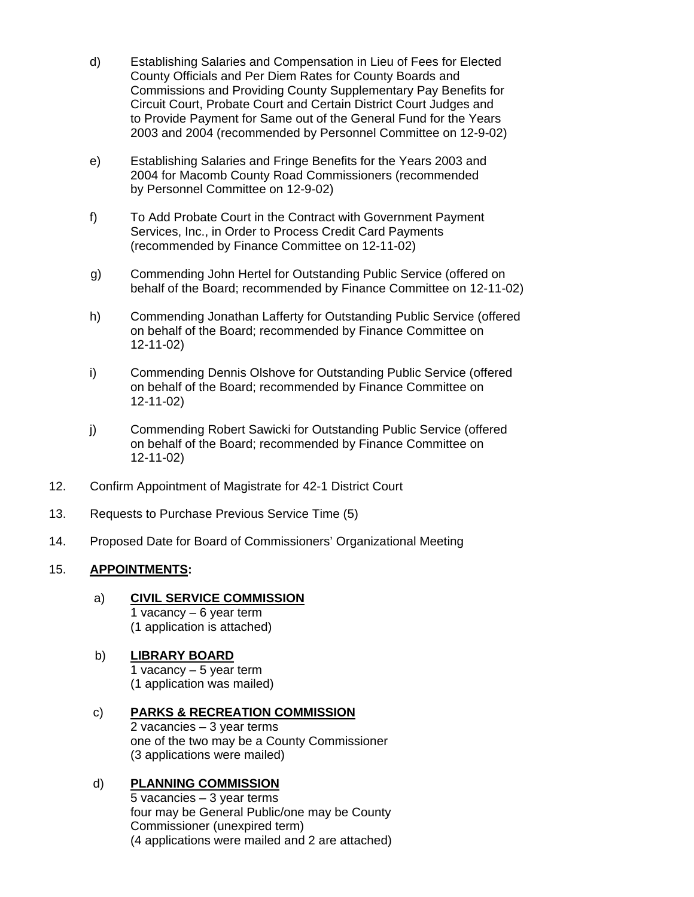- d) Establishing Salaries and Compensation in Lieu of Fees for Elected County Officials and Per Diem Rates for County Boards and Commissions and Providing County Supplementary Pay Benefits for Circuit Court, Probate Court and Certain District Court Judges and to Provide Payment for Same out of the General Fund for the Years 2003 and 2004 (recommended by Personnel Committee on 12-9-02)
- e) Establishing Salaries and Fringe Benefits for the Years 2003 and 2004 for Macomb County Road Commissioners (recommended by Personnel Committee on 12-9-02)
- f) To Add Probate Court in the Contract with Government Payment Services, Inc., in Order to Process Credit Card Payments (recommended by Finance Committee on 12-11-02)
- g) Commending John Hertel for Outstanding Public Service (offered on behalf of the Board; recommended by Finance Committee on 12-11-02)
- h) Commending Jonathan Lafferty for Outstanding Public Service (offered on behalf of the Board; recommended by Finance Committee on 12-11-02)
- i) Commending Dennis Olshove for Outstanding Public Service (offered on behalf of the Board; recommended by Finance Committee on 12-11-02)
- j) Commending Robert Sawicki for Outstanding Public Service (offered on behalf of the Board; recommended by Finance Committee on 12-11-02)
- 12. Confirm Appointment of Magistrate for 42-1 District Court
- 13. Requests to Purchase Previous Service Time (5)
- 14. Proposed Date for Board of Commissioners' Organizational Meeting

### 15. **APPOINTMENTS:**

a) **CIVIL SERVICE COMMISSION** 1 vacancy – 6 year term (1 application is attached)

### b) **LIBRARY BOARD**

 $\overline{1}$  vacancy – 5 year term (1 application was mailed)

#### c) **PARKS & RECREATION COMMISSION** 2 vacancies – 3 year terms one of the two may be a County Commissioner (3 applications were mailed)

## d) **PLANNING COMMISSION**

5 vacancies – 3 year terms four may be General Public/one may be County Commissioner (unexpired term) (4 applications were mailed and 2 are attached)